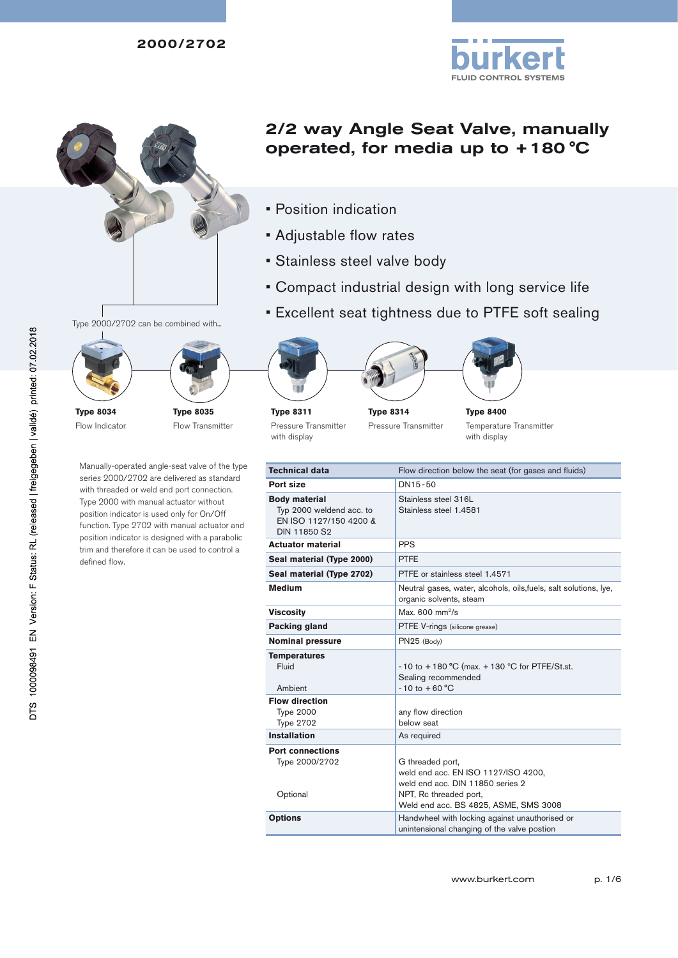



Type 2000/2702 can be combined with...



Flow Indicator

Manually-operated angle-seat valve of the type series 2000/2702 are delivered as standard with threaded or weld end port connection. Type 2000 with manual actuator without position indicator is used only for On/Off function. Type 2702 with manual actuator and position indicator is designed with a parabolic trim and therefore it can be used to control a defined flow.

Flow Transmitter

# 2/2 way Angle Seat Valve, manually operated, for media up to +180 °C

- • Position indication
- • Adjustable flow rates
- • Stainless steel valve body
- • Compact industrial design with long service life
- **Excellent seat tightness due to PTFE soft sealing**









**Type 8314** Pressure Transmitter



Temperature Transmitter with display

| Technical data                                                                                    | Flow direction below the seat (for gases and fluids)                                                                  |
|---------------------------------------------------------------------------------------------------|-----------------------------------------------------------------------------------------------------------------------|
| Port size                                                                                         | DN15-50                                                                                                               |
| <b>Body material</b><br>Typ 2000 weldend acc. to<br>EN ISO 1127/150 4200 &<br><b>DIN 11850 S2</b> | Stainless steel 316L<br>Stainless steel 1.4581                                                                        |
| <b>Actuator material</b>                                                                          | <b>PPS</b>                                                                                                            |
| Seal material (Type 2000)                                                                         | <b>PTFE</b>                                                                                                           |
| Seal material (Type 2702)                                                                         | PTFE or stainless steel 1.4571                                                                                        |
| <b>Medium</b>                                                                                     | Neutral gases, water, alcohols, oils, fuels, salt solutions, lye,<br>organic solvents, steam                          |
| Viscositv                                                                                         | Max. $600 \text{ mm}^2\text{/s}$                                                                                      |
| Packing gland                                                                                     | PTFE V-rings (silicone grease)                                                                                        |
| <b>Nominal pressure</b>                                                                           | PN25 (Body)                                                                                                           |
| <b>Temperatures</b><br>Fluid<br>Ambient                                                           | -10 to +180 °C (max. +130 °C for PTFE/St.st.<br>Sealing recommended<br>$-10$ to $+60$ °C                              |
| <b>Flow direction</b><br><b>Type 2000</b><br><b>Type 2702</b>                                     | any flow direction<br>below seat                                                                                      |
| <b>Installation</b>                                                                               | As required                                                                                                           |
| <b>Port connections</b><br>Type 2000/2702<br>Optional                                             | G threaded port,<br>weld end acc. EN ISO 1127/ISO 4200,<br>weld end acc. DIN 11850 series 2<br>NPT, Rc threaded port, |
|                                                                                                   | Weld end acc. BS 4825, ASME, SMS 3008                                                                                 |
| <b>Options</b>                                                                                    | Handwheel with locking against unauthorised or<br>unintensional changing of the valve postion                         |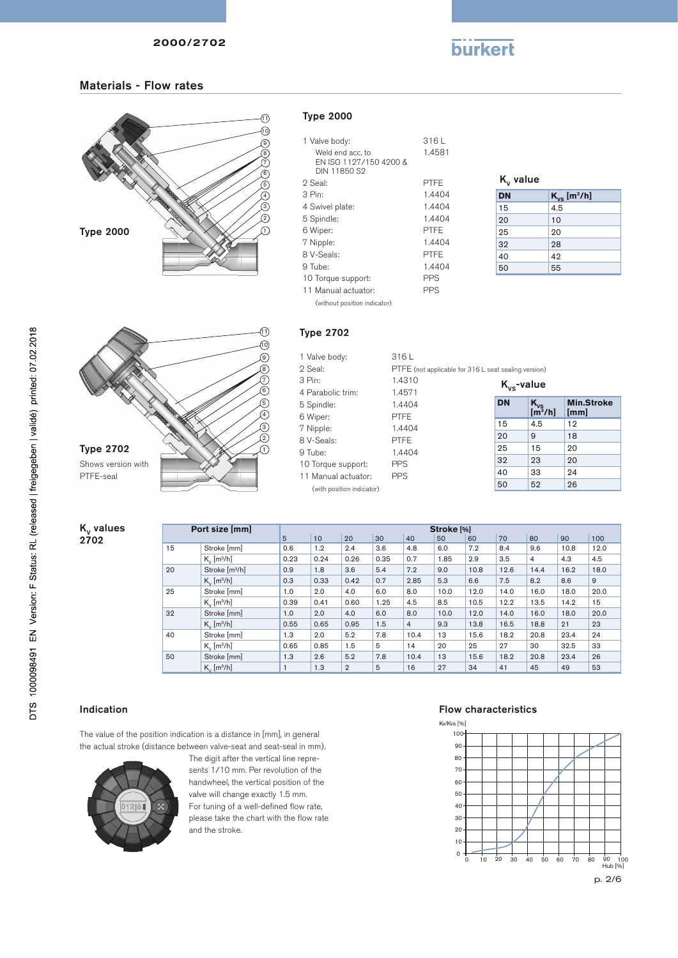

## Materials - Flow rates



#### Type 2000

| 1 Valve body:<br>Weld end acc. to<br>EN ISO 1197/150 4900 &<br>DIN 11850 S2 | 316L<br>1.4581 |
|-----------------------------------------------------------------------------|----------------|
| 2 Seal:                                                                     | PTFF           |
| 3 Pin:                                                                      | 1.4404         |
| 4 Swivel plate:                                                             | 1.4404         |
| 5 Spindle:                                                                  | 1.4404         |
| 6 Wiper:                                                                    | PTFF           |
| 7 Nipple:                                                                   | 1.4404         |
| 8 V-Seals:                                                                  | PTFF           |
| 9 Tube:                                                                     | 1.4404         |
| 10 Torque support:                                                          | PPS            |
| 11 Manual actuator:                                                         | PPS            |
| (without position indicator)                                                |                |

| $K_{v}$ value |                              |
|---------------|------------------------------|
| <b>DN</b>     | $K_{vs}$ [m <sup>3</sup> /h] |
| 15            | 4.5                          |
| 20            | 10                           |
| 25            | 20                           |
| 32            | 28                           |
| 40            | 42                           |
| 50            | 55                           |



# Type 2702

| 1 Valve body:             | 316L                                                 |                 |                                 |                   |
|---------------------------|------------------------------------------------------|-----------------|---------------------------------|-------------------|
| 2 Seal:                   | PTFE (not applicable for 316 L seat sealing version) |                 |                                 |                   |
| 3 Pin:                    | 1.4310                                               | $K_{vs}$ -value |                                 |                   |
| 4 Parabolic trim:         | 1.4571                                               |                 |                                 |                   |
| 5 Spindle:                | 1.4404                                               | <b>DN</b>       | $K_{vs}$<br>[m <sup>3</sup> /h] | <b>Min.Stroke</b> |
| 6 Wiper:                  | <b>PTFE</b>                                          |                 |                                 | [mm]              |
| 7 Nipple:                 | 1.4404                                               | 15              | 4.5                             | 12                |
| 8 V-Seals:                | <b>PTFE</b>                                          | 20              | 9                               | 18                |
| 9 Tube:                   | 1.4404                                               | 25              | 15                              | 20                |
| 10 Torque support:        | <b>PPS</b>                                           | 32              | 23                              | 20                |
| 11 Manual actuator:       | <b>PPS</b>                                           | 40              | 33                              | 24                |
| (with position indicator) |                                                      | 50              | 52                              | 26                |
|                           |                                                      |                 |                                 |                   |

| $K_{v}$ values |    | Port size [mm]                |      |      |                |      |                | Stroke [%] |      |      |      |      |      |
|----------------|----|-------------------------------|------|------|----------------|------|----------------|------------|------|------|------|------|------|
| 2702           |    |                               | 5    | 10   | 20             | 30   | 40             | 50         | 60   | 70   | 80   | 90   | 100  |
|                | 15 | Stroke [mm]                   | 0.6  | 1.2  | 2.4            | 3.6  | 4.8            | 6.0        | 7.2  | 8.4  | 9.6  | 10.8 | 12.0 |
|                |    | $K_{v}$ [m <sup>3</sup> /h]   | 0.23 | 0.24 | 0.26           | 0.35 | 0.7            | 1.85       | 2.9  | 3.5  | 4    | 4.3  | 4.5  |
|                | 20 | Stroke [m <sup>3</sup> /h]    | 0.9  | 1.8  | 3.6            | 5.4  | 7.2            | 9.0        | 10.8 | 12.6 | 14.4 | 16.2 | 18.0 |
|                |    | $K_{\nu}$ [m <sup>3</sup> /h] | 0.3  | 0.33 | 0.42           | 0.7  | 2.85           | 5.3        | 6.6  | 7.5  | 8.2  | 8.6  | 9    |
|                | 25 | Stroke [mm]                   | 1.0  | 2.0  | 4.0            | 6.0  | 8.0            | 10.0       | 12.0 | 14.0 | 16.0 | 18.0 | 20.0 |
|                |    | $K_{\nu}$ [m <sup>3</sup> /h] | 0.39 | 0.41 | 0.60           | 1.25 | 4.5            | 8.5        | 10.5 | 12.2 | 13.5 | 14.2 | 15   |
|                | 32 | Stroke [mm]                   | 1.0  | 2.0  | 4.0            | 6.0  | 8.0            | 10.0       | 12.0 | 14.0 | 16.0 | 18.0 | 20.0 |
|                |    | $K_{\nu}$ [m <sup>3</sup> /h] | 0.55 | 0.65 | 0.95           | 1.5  | $\overline{4}$ | 9.3        | 13.8 | 16.5 | 18.8 | 21   | 23   |
|                | 40 | Stroke [mm]                   | 1.3  | 2.0  | 5.2            | 7.8  | 10.4           | 13         | 15.6 | 18.2 | 20.8 | 23.4 | 24   |
|                |    | $K_v$ [m <sup>3</sup> /h]     | 0.65 | 0.85 | 1.5            | 5    | 14             | 20         | 25   | 27   | 30   | 32.5 | 33   |
|                | 50 | Stroke [mm]                   | 1.3  | 2.6  | 5.2            | 7.8  | 10.4           | 13         | 15.6 | 18.2 | 20.8 | 23.4 | 26   |
|                |    | $K_v$ [m <sup>3</sup> /h]     |      | 1.3  | $\overline{2}$ | 5    | 16             | 27         | 34   | 41   | 45   | 49   | 53   |

#### Indication

The value of the position indication is a distance in [mm], in general the actual stroke (distance between valve-seat and seat-seal in mm).



The digit after the vertical line represents 1/10 mm. Per revolution of the handwheel, the vertical position of the valve will change exactly 1.5 mm. For tuning of a well-defined flow rate, please take the chart with the flow rate and the stroke.

#### Flow characteristics

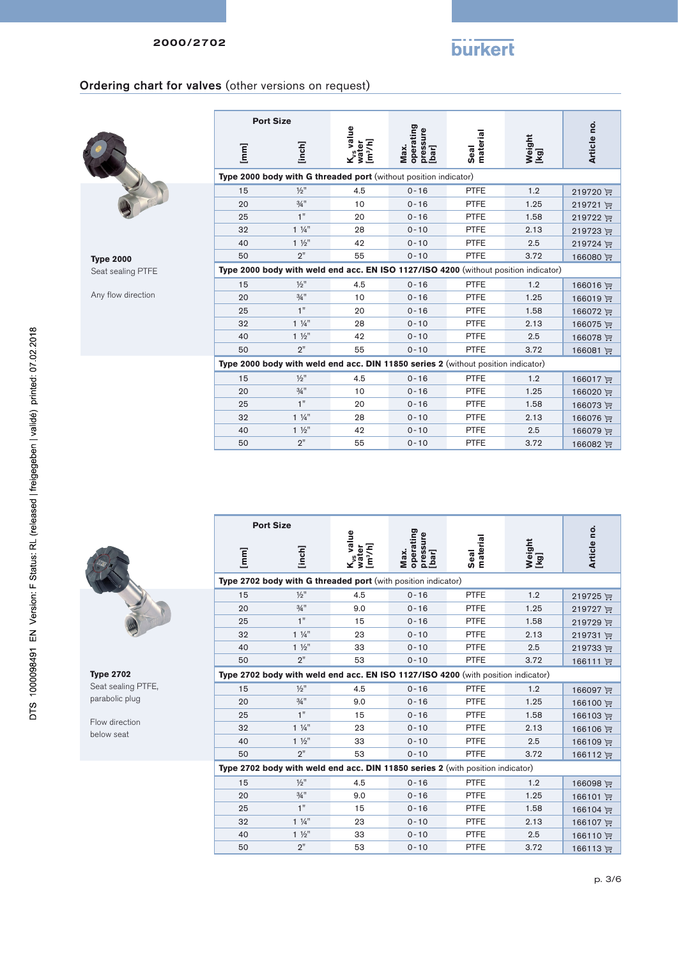

 $\dot{\mathbf{a}}$ 

## Ordering chart for valves (other versions on request)

**Port Size**



**Type 2000** Seat sealing PTFE

Any flow direction

|      | <b>Port Size</b>                                                                    |                                                       |                                        |                  |                |             |
|------|-------------------------------------------------------------------------------------|-------------------------------------------------------|----------------------------------------|------------------|----------------|-------------|
| [mm] | [inch]                                                                              | K <sub>vs</sub> value<br>[m <sup>3</sup> /h]<br>water | operating<br>pressure<br>Max.<br>[bar] | Seal<br>material | Weight<br>[kg] | Article no. |
|      | Type 2000 body with G threaded port (without position indicator)                    |                                                       |                                        |                  |                |             |
| 15   | $1/2$ "                                                                             | 4.5                                                   | $0 - 16$                               | <b>PTFE</b>      | 1.2            | 219720 评    |
| 20   | $3/4$ <sup>11</sup>                                                                 | 10                                                    | $0 - 16$                               | <b>PTFE</b>      | 1.25           | 219721 评    |
| 25   | 1"                                                                                  | 20                                                    | $0 - 16$                               | <b>PTFE</b>      | 1.58           | 219722 评    |
| 32   | $1\frac{1}{4}$                                                                      | 28                                                    | $0 - 10$                               | <b>PTFE</b>      | 2.13           | 219723 评    |
| 40   | $1\frac{1}{2}$                                                                      | 42                                                    | $0 - 10$                               | <b>PTFE</b>      | 2.5            | 219724 评    |
| 50   | 2"                                                                                  | 55                                                    | $0 - 10$                               | <b>PTFE</b>      | 3.72           | 166080 评    |
|      | Type 2000 body with weld end acc. EN ISO 1127/ISO 4200 (without position indicator) |                                                       |                                        |                  |                |             |
| 15   | $1/2$ <sup>11</sup>                                                                 | 4.5                                                   | $0 - 16$                               | <b>PTFE</b>      | 1.2            | 166016 评    |
| 20   | $3/4$ <sup>11</sup>                                                                 | 10                                                    | $0 - 16$                               | <b>PTFE</b>      | 1.25           | 166019 评    |
| 25   | 1"                                                                                  | 20                                                    | $0 - 16$                               | <b>PTFE</b>      | 1.58           | 166072 评    |
| 32   | $1\frac{1}{4}$                                                                      | 28                                                    | $0 - 10$                               | <b>PTFE</b>      | 2.13           | 166075 评    |
| 40   | $1\frac{1}{2}$                                                                      | 42                                                    | $0 - 10$                               | <b>PTFE</b>      | 2.5            | 166078 评    |
| 50   | 2"                                                                                  | 55                                                    | $0 - 10$                               | <b>PTFE</b>      | 3.72           | 166081 评    |
|      | Type 2000 body with weld end acc. DIN 11850 series 2 (without position indicator)   |                                                       |                                        |                  |                |             |
| 15   | $1/2$ <sup>11</sup>                                                                 | 4.5                                                   | $0 - 16$                               | <b>PTFE</b>      | 1.2            | 166017 评    |
| 20   | $3/4$ <sup>11</sup>                                                                 | 10                                                    | $0 - 16$                               | <b>PTFE</b>      | 1.25           | 166020 评    |
| 25   | 1"                                                                                  | 20                                                    | $0 - 16$                               | <b>PTFE</b>      | 1.58           | 166073 评    |
| 32   | $1\frac{1}{4}$                                                                      | 28                                                    | $0 - 10$                               | <b>PTFE</b>      | 2.13           | 166076 评    |
| 40   | $1\frac{1}{2}$                                                                      | 42                                                    | $0 - 10$                               | <b>PTFE</b>      | 2.5            | 166079 评    |
| 50   | 2"                                                                                  | 55                                                    | $0 - 10$                               | <b>PTFE</b>      | 3.72           | 166082 评    |

**Type 2702** Seat sealing PTFE, parabolic plug

Flow direction below seat

| <b>Port Size</b> |                     |                                                       |                                                                                  |                  |                |             |  |
|------------------|---------------------|-------------------------------------------------------|----------------------------------------------------------------------------------|------------------|----------------|-------------|--|
| [mm]             | [inch]              | K <sub>vs</sub> value<br>water<br>[m <sup>3</sup> /h] | operating<br>pressure<br>[bar]<br>Max.                                           | Seal<br>material | Weight<br>[kg] | Article no. |  |
|                  |                     |                                                       | Type 2702 body with G threaded port (with position indicator)                    |                  |                |             |  |
| 15               | $1/2$ "             | 4.5                                                   | $0 - 16$                                                                         | <b>PTFE</b>      | 1.2            | 219725 评    |  |
| 20               | $3/4$ <sup>11</sup> | 9.0                                                   | $0 - 16$                                                                         | <b>PTFE</b>      | 1.25           | 219727 评    |  |
| 25               | 1"                  | 15                                                    | $0 - 16$                                                                         | <b>PTFE</b>      | 1.58           | 219729 评    |  |
| 32               | $1\frac{1}{4}$      | 23                                                    | $0 - 10$                                                                         | <b>PTFE</b>      | 2.13           | 219731 评    |  |
| 40               | $1\frac{1}{2}$      | 33                                                    | $0 - 10$                                                                         | <b>PTFE</b>      | 2.5            | 219733 评    |  |
| 50               | 2"                  | 53                                                    | $0 - 10$                                                                         | <b>PTFE</b>      | 3.72           | 166111 评    |  |
|                  |                     |                                                       | Type 2702 body with weld end acc. EN ISO 1127/ISO 4200 (with position indicator) |                  |                |             |  |
| 15               | $1/2$ <sup>11</sup> | 4.5                                                   | $0 - 16$                                                                         | <b>PTFE</b>      | 1.2            | 166097 逆    |  |
| 20               | $3/4$ <sup>11</sup> | 9.0                                                   | $0 - 16$                                                                         | <b>PTFE</b>      | 1.25           | 166100 逆    |  |
| 25               | 1"                  | 15                                                    | $0 - 16$                                                                         | <b>PTFE</b>      | 1.58           | 166103 评    |  |
| 32               | $1\frac{1}{4}$      | 23                                                    | $0 - 10$                                                                         | <b>PTFE</b>      | 2.13           | 166106 评    |  |
| 40               | $1\frac{1}{2}$      | 33                                                    | $0 - 10$                                                                         | <b>PTFE</b>      | 2.5            | 166109 评    |  |
| 50               | 2"                  | 53                                                    | $0 - 10$                                                                         | <b>PTFE</b>      | 3.72           | 166112 评    |  |
|                  |                     |                                                       | Type 2702 body with weld end acc. DIN 11850 series 2 (with position indicator)   |                  |                |             |  |
| 15               | $1/2$ <sup>11</sup> | 4.5                                                   | $0 - 16$                                                                         | <b>PTFE</b>      | 1.2            | 166098 评    |  |
| 20               | $3/4$ <sup>11</sup> | 9.0                                                   | $0 - 16$                                                                         | <b>PTFE</b>      | 1.25           | 166101 评    |  |
| 25               | 1"                  | 15                                                    | $0 - 16$                                                                         | <b>PTFE</b>      | 1.58           | 166104 更    |  |
| 32               | $1\frac{1}{4}$      | 23                                                    | $0 - 10$                                                                         | <b>PTFE</b>      | 2.13           | 166107 评    |  |
| 40               | $1\frac{1}{2}$      | 33                                                    | $0 - 10$                                                                         | <b>PTFE</b>      | 2.5            | 166110 评    |  |
| 50               | 2"                  | 53                                                    | $0 - 10$                                                                         | <b>PTFE</b>      | 3.72           | 166113 评    |  |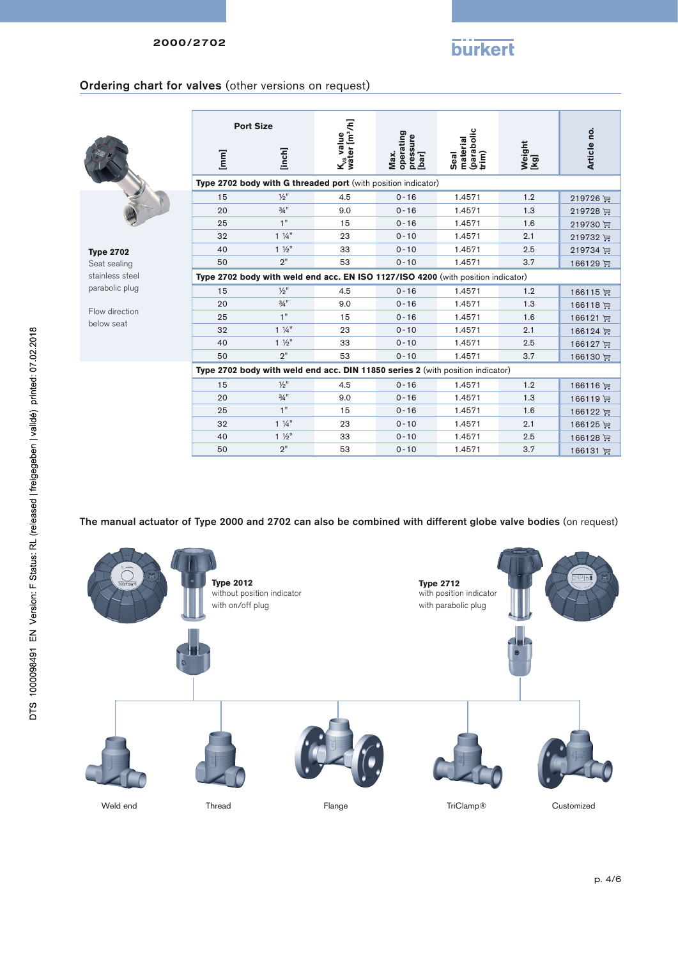# **burkert**

### Ordering chart for valves (other versions on request)



**Type 2702** Seat sealing stainless steel parabolic plug

Flow direction below seat

|      | <b>Port Size</b>                                                                 |                                                    |                                        |                                         |                |             |
|------|----------------------------------------------------------------------------------|----------------------------------------------------|----------------------------------------|-----------------------------------------|----------------|-------------|
| [mm] | [inch]                                                                           | K <sub>vs</sub> value<br>water [m <sup>3</sup> /h] | operating<br>pressure<br>[bar]<br>Max. | (parabolic<br>trim)<br>material<br>Seal | Weight<br>[kg] | Article no. |
|      | Type 2702 body with G threaded port (with position indicator)                    |                                                    |                                        |                                         |                |             |
| 15   | $1/2$ <sup>11</sup>                                                              | 4.5                                                | $0 - 16$                               | 1.4571                                  | 1.2            | 219726      |
| 20   | $3/4$ <sup>11</sup>                                                              | 9.0                                                | $0 - 16$                               | 1.4571                                  | 1.3            | 219728 评    |
| 25   | 1"                                                                               | 15                                                 | $0 - 16$                               | 1.4571                                  | 1.6            | 219730 评    |
| 32   | $1\frac{1}{4}$                                                                   | 23                                                 | $0 - 10$                               | 1.4571                                  | 2.1            | 219732 评    |
| 40   | $1\frac{1}{2}$                                                                   | 33                                                 | $0 - 10$                               | 1.4571                                  | 2.5            | 219734 评    |
| 50   | 2"                                                                               | 53                                                 | $0 - 10$                               | 1.4571                                  | 3.7            | 166129 评    |
|      | Type 2702 body with weld end acc. EN ISO 1127/ISO 4200 (with position indicator) |                                                    |                                        |                                         |                |             |
| 15   | $\frac{1}{2}$ <sup>11</sup>                                                      | 4.5                                                | $0 - 16$                               | 1.4571                                  | 1.2            | 166115 评    |
| 20   | $3/4$ <sup>11</sup>                                                              | 9.0                                                | $0 - 16$                               | 1.4571                                  | 1.3            | 166118 评    |
| 25   | 1"                                                                               | 15                                                 | $0 - 16$                               | 1.4571                                  | 1.6            | 166121 评    |
| 32   | $1\frac{1}{4}$                                                                   | 23                                                 | $0 - 10$                               | 1.4571                                  | 2.1            | 166124 评    |
| 40   | $1\frac{1}{2}$                                                                   | 33                                                 | $0 - 10$                               | 1.4571                                  | 2.5            | 166127 评    |
| 50   | 2"                                                                               | 53                                                 | $0 - 10$                               | 1.4571                                  | 3.7            | 166130 评    |
|      | Type 2702 body with weld end acc. DIN 11850 series 2 (with position indicator)   |                                                    |                                        |                                         |                |             |
| 15   | $\frac{1}{2}$                                                                    | 4.5                                                | $0 - 16$                               | 1.4571                                  | 1.2            | 166116 评    |
| 20   | $3/4$ <sup>11</sup>                                                              | 9.0                                                | $0 - 16$                               | 1.4571                                  | 1.3            | 166119 评    |
| 25   | 1"                                                                               | 15                                                 | $0 - 16$                               | 1.4571                                  | 1.6            | 166122 评    |
| 32   | $1\frac{1}{4}$                                                                   | 23                                                 | $0 - 10$                               | 1.4571                                  | 2.1            | 166125 厘    |
| 40   | $1\frac{1}{2}$                                                                   | 33                                                 | $0 - 10$                               | 1.4571                                  | 2.5            | 166128 评    |
| 50   | 2"                                                                               | 53                                                 | $0 - 10$                               | 1.4571                                  | 3.7            | 166131 评    |
|      |                                                                                  |                                                    |                                        |                                         |                |             |

The manual actuator of Type 2000 and 2702 can also be combined with different globe valve bodies (on request)

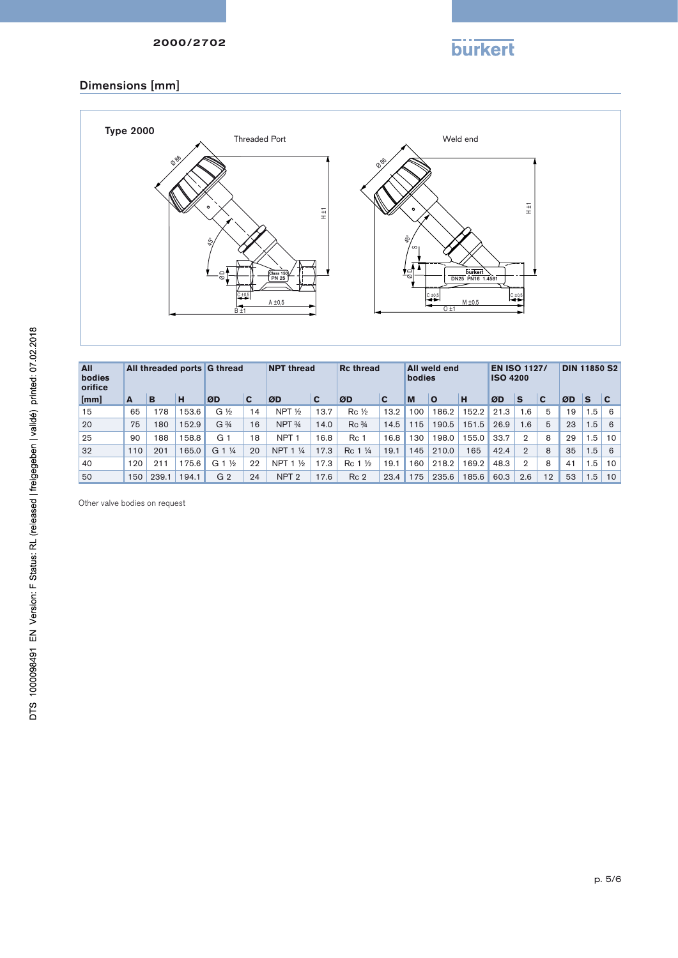

## Dimensions [mm]



| All<br>bodies<br>orifice |     |       | All threaded ports G thread |                                 |    | <b>NPT thread</b><br><b>Rc thread</b> |      |                                  | All weld end<br>bodies |     |          | <b>EN ISO 1127/</b><br><b>ISO 4200</b> |      |                | <b>DIN 11850 S2</b> |    |                 |                 |
|--------------------------|-----|-------|-----------------------------|---------------------------------|----|---------------------------------------|------|----------------------------------|------------------------|-----|----------|----------------------------------------|------|----------------|---------------------|----|-----------------|-----------------|
| [mm]                     | A   | B     | н                           | ØD                              | C  | ØD                                    | C    | ØD                               | C                      | M   | $\Omega$ | н                                      | ØD   | S              | C                   | ØD | S               | $\mathbf c$     |
| 15                       | 65  | 78    | 153.6                       | $G\frac{1}{2}$                  | 14 | NPT $\frac{1}{2}$                     | 13.7 | $Rc\frac{1}{2}$                  | 13.2                   | 100 | 186.2    | 152.2                                  | 21.3 | 1.6            | 5                   | 19 | 1.5             | 6               |
| 20                       | 75  | 180   | 152.9                       | G <sup>3</sup> / <sub>4</sub>   | 16 | NPT <sub>34</sub>                     | 14.0 | Rc <sup>3</sup> / <sub>4</sub>   | 14.5                   | 115 | 190.5    | 151.5                                  | 26.9 | 1.6            | 5                   | 23 | .5 <sub>1</sub> | 6               |
| 25                       | 90  | 188   | 158.8                       | G 1                             | 18 | NPT <sub>1</sub>                      | 16.8 | Rc 1                             | 16.8                   | 130 | 198.0    | 55.0                                   | 33.7 | $\overline{2}$ | 8                   | 29 | 1.5             | $10-10$         |
| 32                       | 110 | 201   | 165.0                       | G<br>$\frac{1}{4}$              | 20 | NPT <sub>1</sub><br>$\frac{1}{4}$     | 17.3 | $\frac{1}{4}$<br>Rc <sub>1</sub> | 19.1                   | 145 | 210.0    | 165                                    | 42.4 | $\overline{2}$ | 8                   | 35 | 1.5             | 6               |
| 40                       | 120 | 211   | 175.6                       | G <sub>1</sub><br>$\frac{1}{2}$ | 22 | NPT $1\frac{1}{2}$                    | 17.3 | $\frac{1}{2}$<br>Rc <sub>1</sub> | 19.1                   | 160 | 218.2    | 169.2                                  | 48.3 | $\overline{2}$ | 8                   | 41 | 1.5             | 10 <sup>1</sup> |
| 50                       | 150 | 239.1 | 194.1                       | G <sub>2</sub>                  | 24 | NPT <sub>2</sub>                      | 17.6 | Rc <sub>2</sub>                  | 23.4                   | 175 | 235.6    | 185.6                                  | 60.3 | 2.6            | 12                  | 53 | 6.5             | 10 <sup>1</sup> |

Other valve bodies on request